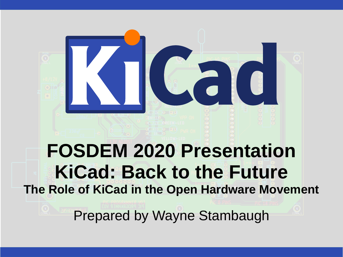

**The Role of KiCad in the Open Hardware Movement**

Prepared by Wayne Stambaugh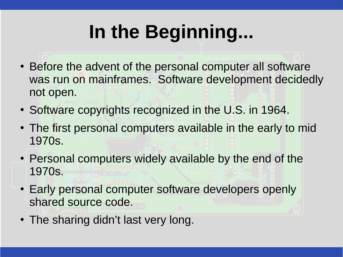## **In the Beginning...**

- Before the advent of the personal computer all software was run on mainframes. Software development decidedly not open.
- Software copyrights recognized in the U.S. in 1964.
- The first personal computers available in the early to mid 1970s.
- Personal computers widely available by the end of the 1970s.
- Early personal computer software developers openly shared source code.
- The sharing didn't last very long.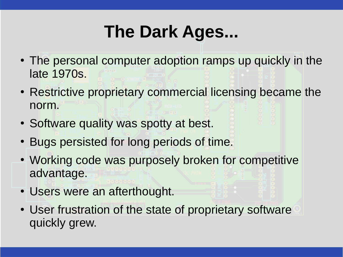### **The Dark Ages...**

- The personal computer adoption ramps up quickly in the late 1970s.
- Restrictive proprietary commercial licensing became the norm.
- Software quality was spotty at best.
- Bugs persisted for long periods of time.
- Working code was purposely broken for competitive advantage.
- Users were an afterthought.
- User frustration of the state of proprietary software quickly grew.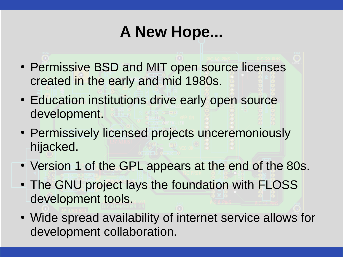#### **A New Hope...**

- Permissive BSD and MIT open source licenses created in the early and mid 1980s.
- Education institutions drive early open source development.
- Permissively licensed projects unceremoniously hijacked.
- Version 1 of the GPL appears at the end of the 80s.
- The GNU project lays the foundation with FLOSS development tools.
- Wide spread availability of internet service allows for development collaboration.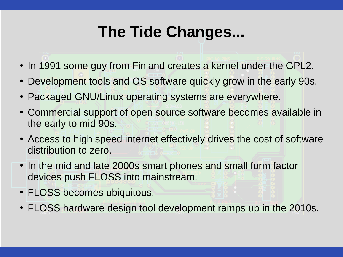#### **The Tide Changes...**

- In 1991 some guy from Finland creates a kernel under the GPL2.
- Development tools and OS software quickly grow in the early 90s.
- Packaged GNU/Linux operating systems are everywhere.
- Commercial support of open source software becomes available in the early to mid 90s.
- Access to high speed internet effectively drives the cost of software distribution to zero.
- In the mid and late 2000s smart phones and small form factor devices push FLOSS into mainstream.
- FLOSS becomes ubiquitous.
- FLOSS hardware design tool development ramps up in the 2010s.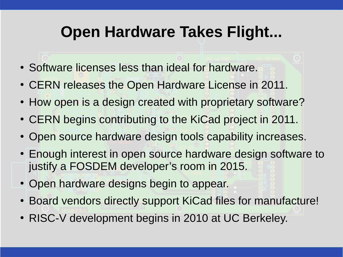#### **Open Hardware Takes Flight...**

- Software licenses less than ideal for hardware.
- CERN releases the Open Hardware License in 2011.
- How open is a design created with proprietary software?
- CERN begins contributing to the KiCad project in 2011.
- Open source hardware design tools capability increases.
- Enough interest in open source hardware design software to justify a FOSDEM developer's room in 2015.
- Open hardware designs begin to appear.
- Board vendors directly support KiCad files for manufacture!
- RISC-V development begins in 2010 at UC Berkeley.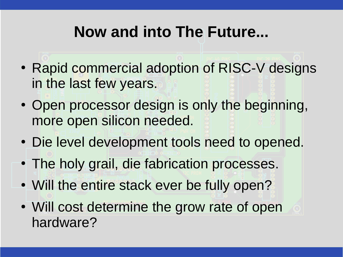#### **Now and into The Future...**

- Rapid commercial adoption of RISC-V designs in the last few years.
- Open processor design is only the beginning, more open silicon needed.
- Die level development tools need to opened.
- The holy grail, die fabrication processes.
- Will the entire stack ever be fully open?
- Will cost determine the grow rate of open hardware?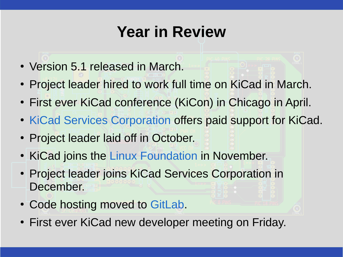#### **Year in Review**

- Version 5.1 released in March.
- Project leader hired to work full time on KiCad in March.
- First ever KiCad conference (KiCon) in Chicago in April.
- [KiCad Services Corporation](https://www.kipro-pcb.com/) offers paid support for KiCad.
- Project leader laid off in October.
- KiCad joins the [Linux Foundation](https://funding.communitybridge.org/projects/kicad) in November.
- Project leader joins KiCad Services Corporation in December.
- Code hosting moved to [GitLab](https://gitlab.com/).
- First ever KiCad new developer meeting on Friday.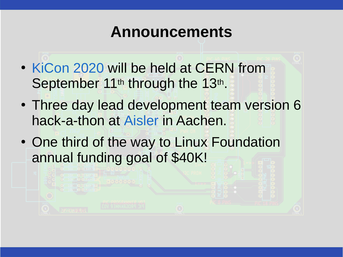#### **Announcements**

- [KiCon 2020](https://2020.kicad-kicon.com/) will be held at CERN from September 11<sup>th</sup> through the 13<sup>th</sup>.
- Three day lead development team version 6 hack-a-thon at [Aisler](https://aisler.net/) in Aachen.
- One third of the way to Linux Foundation annual funding goal of \$40K!